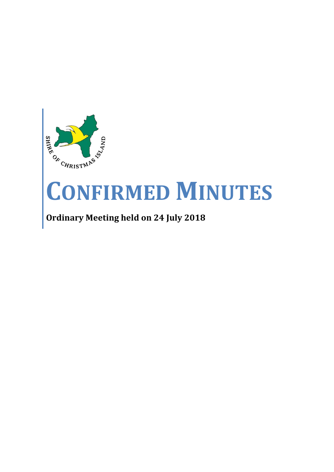

# **CONFIRMED MINUTES**

# **Ordinary Meeting held on 24 July 2018**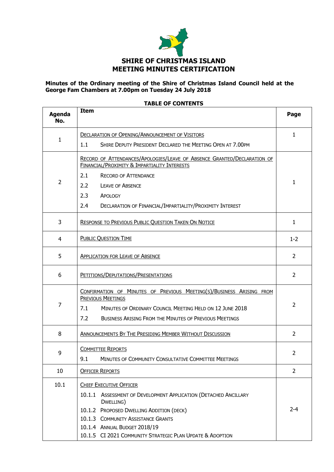

# **Minutes of the Ordinary meeting of the Shire of Christmas Island Council held at the George Fam Chambers at 7.00pm on Tuesday 24 July 2018**

| <b>Agenda</b><br>No. | <b>Item</b>                                                                                                                                                                                                                                                                                     | Page           |  |
|----------------------|-------------------------------------------------------------------------------------------------------------------------------------------------------------------------------------------------------------------------------------------------------------------------------------------------|----------------|--|
| 1                    | <b>DECLARATION OF OPENING/ANNOUNCEMENT OF VISITORS</b><br>1.1<br>SHIRE DEPUTY PRESIDENT DECLARED THE MEETING OPEN AT 7.00PM                                                                                                                                                                     | $\mathbf{1}$   |  |
| $\overline{2}$       | RECORD OF ATTENDANCES/APOLOGIES/LEAVE OF ABSENCE GRANTED/DECLARATION OF<br><b>FINANCIAL/PROXIMITY &amp; IMPARTIALITY INTERESTS</b><br>2.1<br><b>RECORD OF ATTENDANCE</b><br>2.2<br><b>LEAVE OF ABSENCE</b><br>2.3<br>APOLOGY<br>2.4<br>DECLARATION OF FINANCIAL/IMPARTIALITY/PROXIMITY INTEREST |                |  |
| 3                    | RESPONSE TO PREVIOUS PUBLIC QUESTION TAKEN ON NOTICE                                                                                                                                                                                                                                            | $\mathbf{1}$   |  |
| 4                    | <b>PUBLIC QUESTION TIME</b>                                                                                                                                                                                                                                                                     | $1 - 2$        |  |
| 5                    | <b>APPLICATION FOR LEAVE OF ABSENCE</b>                                                                                                                                                                                                                                                         |                |  |
| 6                    | PETITIONS/DEPUTATIONS/PRESENTATIONS                                                                                                                                                                                                                                                             |                |  |
| 7                    | CONFIRMATION OF MINUTES OF PREVIOUS MEETING(S)/BUSINESS ARISING FROM<br><b>PREVIOUS MEETINGS</b><br>MINUTES OF ORDINARY COUNCIL MEETING HELD ON 12 JUNE 2018<br>7.1<br>7.2<br><b>BUSINESS ARISING FROM THE MINUTES OF PREVIOUS MEETINGS</b>                                                     | $\overline{2}$ |  |
| 8                    | <b>ANNOUNCEMENTS BY THE PRESIDING MEMBER WITHOUT DISCUSSION</b>                                                                                                                                                                                                                                 |                |  |
| 9                    | <b>COMMITTEE REPORTS</b><br>9.1<br>MINUTES OF COMMUNITY CONSULTATIVE COMMITTEE MEETINGS                                                                                                                                                                                                         | 2              |  |
| 10                   | <b>OFFICER REPORTS</b>                                                                                                                                                                                                                                                                          |                |  |
| 10.1                 | <b>CHIEF EXECUTIVE OFFICER</b><br>10.1.1 ASSESSMENT OF DEVELOPMENT APPLICATION (DETACHED ANCILLARY<br>DWELLING)<br>10.1.2 PROPOSED DWELLING ADDITION (DECK)<br>10.1.3 COMMUNITY ASSISTANCE GRANTS<br>10.1.4 ANNUAL BUDGET 2018/19<br>10.1.5 CI 2021 COMMUNITY STRATEGIC PLAN UPDATE & ADOPTION  | $2 - 4$        |  |

## **TABLE OF CONTENTS**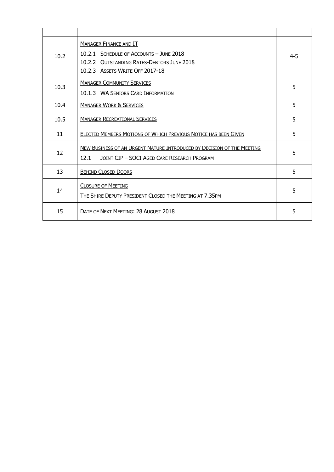| 10.2 | <b>MANAGER FINANCE AND IT</b><br>10.2.1 SCHEDULE OF ACCOUNTS - JUNE 2018<br>10.2.2 OUTSTANDING RATES-DEBTORS JUNE 2018<br>10.2.3 ASSETS WRITE OFF 2017-18 | $4 - 5$ |
|------|-----------------------------------------------------------------------------------------------------------------------------------------------------------|---------|
| 10.3 | <b>MANAGER COMMUNITY SERVICES</b><br>10.1.3 WA SENIORS CARD INFORMATION                                                                                   | 5       |
| 10.4 | <b>MANAGER WORK &amp; SERVICES</b>                                                                                                                        | 5       |
| 10.5 | <b>MANAGER RECREATIONAL SERVICES</b>                                                                                                                      | 5       |
| 11   | ELECTED MEMBERS MOTIONS OF WHICH PREVIOUS NOTICE HAS BEEN GIVEN                                                                                           | 5       |
| 12   | NEW BUSINESS OF AN URGENT NATURE INTRODUCED BY DECISION OF THE MEETING<br>12.1<br>JOINT CIP - SOCI AGED CARE RESEARCH PROGRAM                             | 5       |
| 13   | <b>BEHIND CLOSED DOORS</b>                                                                                                                                | 5       |
| 14   | <b>CLOSURE OF MEETING</b><br>THE SHIRE DEPUTY PRESIDENT CLOSED THE MEETING AT 7.35PM                                                                      | 5       |
| 15   | DATE OF NEXT MEETING: 28 AUGUST 2018                                                                                                                      | 5       |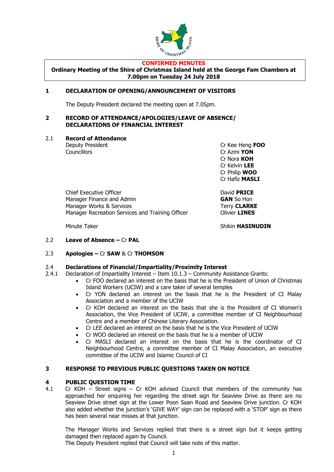

#### **CONFIRMED MINUTES**

**Ordinary Meeting of the Shire of Christmas Island held at the George Fam Chambers at 7.00pm on Tuesday 24 July 2018**

# **1 DECLARATION OF OPENING/ANNOUNCEMENT OF VISITORS**

The Deputy President declared the meeting open at 7.05pm.

## **2 RECORD OF ATTENDANCE/APOLOGIES/LEAVE OF ABSENCE/ DECLARATIONS OF FINANCIAL INTEREST**

2.1 **Record of Attendance**

Deputy President Cr Kee Heng **FOO** Councillors Cr Azmi **YON** Cr Nora **KOH** Cr Kelvin **LEE** Cr Philip **WOO** Cr Hafiz **MASLI**

Chief Executive Officer David **PRICE** Manager Finance and Admin **GAN** So Hon Manager Works & Services Terry **CLARKE** Manager Recreation Services and Training Officer **Constructs** Olivier **LINES** 

Minute Taker **Shikin HASINUDIN** 

2.2 **Leave of Absence –** Cr **PAL**

# 2.3 **Apologies –** Cr **SAW** & Cr **THOMSON**

# 2.4 **Declarations of Financial/Impartiality/Proximity Interest**

- 2.4.1 Declaration of Impartiality Interest Item 10.1.3 Community Assistance Grants:
	- Cr FOO declared an interest on the basis that he is the President of Union of Christmas Island Workers (UCIW) and a care taker of several temples
		- Cr YON declared an interest on the basis that he is the President of CI Malay Association and a member of the UCIW
		- Cr KOH declared an interest on the basis that she is the President of CI Women's Association, the Vice President of UCIW, a committee member of CI Neighbourhood Centre and a member of Chinese Literary Association.
		- Cr LEE declared an interest on the basis that he is the Vice President of UCIW
		- Cr WOO declared an interest on the basis that he is a member of UCIW
		- Cr MASLI declared an interest on the basis that he is the coordinator of CI Neighbourhood Centre, a committee member of CI Malay Association, an executive committee of the UCIW and Islamic Council of CI

# **3 RESPONSE TO PREVIOUS PUBLIC QUESTIONS TAKEN ON NOTICE**

# **4 PUBLIC QUESTION TIME**

4.1 Cr KOH – Street signs – Cr KOH advised Council that members of the community has approached her enquiring her regarding the street sign for Seaview Drive as there are no Seaview Drive street sign at the Lower Poon Saan Road and Seaview Drive junction. Cr KOH also added whether the junction's 'GIVE WAY' sign can be replaced with a 'STOP' sign as there has been several near misses at that junction.

The Manager Works and Services replied that there is a street sign but it keeps getting damaged then replaced again by Council.

The Deputy President replied that Council will take note of this matter.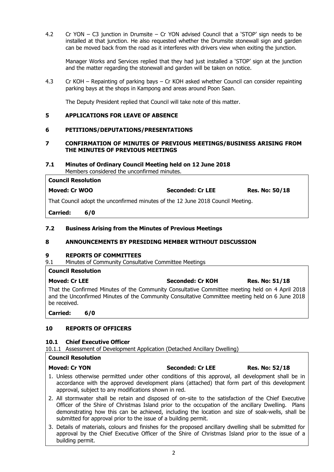4.2 Cr YON – C3 junction in Drumsite – Cr YON advised Council that a 'STOP' sign needs to be installed at that junction. He also requested whether the Drumsite stonewall sign and garden can be moved back from the road as it interferes with drivers view when exiting the junction.

Manager Works and Services replied that they had just installed a 'STOP' sign at the junction and the matter regarding the stonewall and garden will be taken on notice.

4.3 Cr KOH – Repainting of parking bays – Cr KOH asked whether Council can consider repainting parking bays at the shops in Kampong and areas around Poon Saan.

The Deputy President replied that Council will take note of this matter.

# **5 APPLICATIONS FOR LEAVE OF ABSENCE**

# **6 PETITIONS/DEPUTATIONS/PRESENTATIONS**

# **7 CONFIRMATION OF MINUTES OF PREVIOUS MEETINGS/BUSINESS ARISING FROM THE MINUTES OF PREVIOUS MEETINGS**

#### **7.1 Minutes of Ordinary Council Meeting held on 12 June 2018** Members considered the unconfirmed minutes.

| <b>Council Resolution</b>                                                       |                         |                       |  |  |
|---------------------------------------------------------------------------------|-------------------------|-----------------------|--|--|
| Moved: Cr WOO                                                                   | <b>Seconded: Cr LEE</b> | <b>Res. No: 50/18</b> |  |  |
| That Council adopt the unconfirmed minutes of the 12 June 2018 Council Meeting. |                         |                       |  |  |
|                                                                                 |                         |                       |  |  |

**Carried: 6/0**

# **7.2 Business Arising from the Minutes of Previous Meetings**

# **8 ANNOUNCEMENTS BY PRESIDING MEMBER WITHOUT DISCUSSION**

# **9 REPORTS OF COMMITTEES**

9.1 Minutes of Community Consultative Committee Meetings

| <b>Council Resolution</b>                                                                                                                                                                                          |                  |                       |
|--------------------------------------------------------------------------------------------------------------------------------------------------------------------------------------------------------------------|------------------|-----------------------|
| <b>Moved: Cr LEE</b>                                                                                                                                                                                               | Seconded: Cr KOH | <b>Res. No: 51/18</b> |
| That the Confirmed Minutes of the Community Consultative Committee meeting held on 4 April 2018<br>and the Unconfirmed Minutes of the Community Consultative Committee meeting held on 6 June 2018<br>be received. |                  |                       |
| <b>Constantinople</b>                                                                                                                                                                                              |                  |                       |

**Carried: 6/0**

# **10 REPORTS OF OFFICERS**

# **10.1 Chief Executive Officer**

10.1.1 Assessment of Development Application (Detached Ancillary Dwelling)

# **Council Resolution**

# **Moved: Cr YON Seconded: Cr LEE Res. No: 52/18** 1. Unless otherwise permitted under other conditions of this approval, all development shall be in accordance with the approved development plans (attached) that form part of this development

- approval, subject to any modifications shown in red. 2. All stormwater shall be retain and disposed of on-site to the satisfaction of the Chief Executive Officer of the Shire of Christmas Island prior to the occupation of the ancillary Dwelling. Plans demonstrating how this can be achieved, including the location and size of soak-wells, shall be submitted for approval prior to the issue of a building permit.
- 3. Details of materials, colours and finishes for the proposed ancillary dwelling shall be submitted for approval by the Chief Executive Officer of the Shire of Christmas Island prior to the issue of a building permit.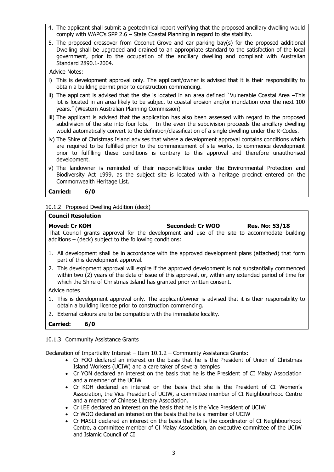- 4. The applicant shall submit a geotechnical report verifying that the proposed ancillary dwelling would comply with WAPC's SPP 2.6 – State Coastal Planning in regard to site stability.
- 5. The proposed crossover from Coconut Grove and car parking bay(s) for the proposed additional Dwelling shall be upgraded and drained to an appropriate standard to the satisfaction of the local government, prior to the occupation of the ancillary dwelling and compliant with Australian Standard 2890.1-2004.

Advice Notes:

- i) This is development approval only. The applicant/owner is advised that it is their responsibility to obtain a building permit prior to construction commencing.
- ii) The applicant is advised that the site is located in an area defined `Vulnerable Coastal Area –This lot is located in an area likely to be subject to coastal erosion and/or inundation over the next 100 years." (Western Australian Planning Commission)
- iii) The applicant is advised that the application has also been assessed with regard to the proposed subdivision of the site into four lots. In the even the subdivision proceeds the ancillary dwelling would automatically convert to the definition/classification of a single dwelling under the R-Codes.
- iv) The Shire of Christmas Island advises that where a development approval contains conditions which are required to be fulfilled prior to the commencement of site works, to commence development prior to fulfilling these conditions is contrary to this approval and therefore unauthorised development.
- v) The landowner is reminded of their responsibilities under the Environmental Protection and Biodiversity Act 1999, as the subject site is located with a heritage precinct entered on the Commonwealth Heritage List.

**Carried: 6/0**

10.1.2 Proposed Dwelling Addition (deck)

#### **Council Resolution**

**Moved: Cr KOH Seconded: Cr WOO Res. No: 53/18** That Council grants approval for the development and use of the site to accommodate building additions – (deck) subject to the following conditions:

- 1. All development shall be in accordance with the approved development plans (attached) that form part of this development approval.
- 2. This development approval will expire if the approved development is not substantially commenced within two (2) years of the date of issue of this approval, or, within any extended period of time for which the Shire of Christmas Island has granted prior written consent.

Advice notes

- 1. This is development approval only. The applicant/owner is advised that it is their responsibility to obtain a building licence prior to construction commencing.
- 2. External colours are to be compatible with the immediate locality.
- **Carried: 6/0**

10.1.3 Community Assistance Grants

Declaration of Impartiality Interest – Item 10.1.2 – Community Assistance Grants:

- Cr FOO declared an interest on the basis that he is the President of Union of Christmas Island Workers (UCIW) and a care taker of several temples
- Cr YON declared an interest on the basis that he is the President of CI Malay Association and a member of the UCIW
- Cr KOH declared an interest on the basis that she is the President of CI Women's Association, the Vice President of UCIW, a committee member of CI Neighbourhood Centre and a member of Chinese Literary Association.
- Cr LEE declared an interest on the basis that he is the Vice President of UCIW
- Cr WOO declared an interest on the basis that he is a member of UCIW
- Cr MASLI declared an interest on the basis that he is the coordinator of CI Neighbourhood Centre, a committee member of CI Malay Association, an executive committee of the UCIW and Islamic Council of CI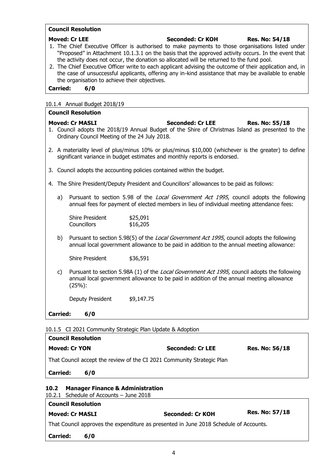# **Council Resolution**

| <b>Moved: Cr LEE</b><br><b>Seconded: Cr KOH</b><br><b>Res. No: 54/18</b><br>1. The Chief Executive Officer is authorised to make payments to those organisations listed under<br>"Proposed" in Attachment 10.1.3.1 on the basis that the approved activity occurs. In the event that<br>the activity does not occur, the donation so allocated will be returned to the fund pool.<br>2. The Chief Executive Officer write to each applicant advising the outcome of their application and, in<br>the case of unsuccessful applicants, offering any in-kind assistance that may be available to enable<br>the organisation to achieve their objectives.<br><b>Carried:</b><br>6/0 |                                                                         |                                                                                                                                                                                                 |  |
|----------------------------------------------------------------------------------------------------------------------------------------------------------------------------------------------------------------------------------------------------------------------------------------------------------------------------------------------------------------------------------------------------------------------------------------------------------------------------------------------------------------------------------------------------------------------------------------------------------------------------------------------------------------------------------|-------------------------------------------------------------------------|-------------------------------------------------------------------------------------------------------------------------------------------------------------------------------------------------|--|
|                                                                                                                                                                                                                                                                                                                                                                                                                                                                                                                                                                                                                                                                                  | 10.1.4 Annual Budget 2018/19                                            |                                                                                                                                                                                                 |  |
|                                                                                                                                                                                                                                                                                                                                                                                                                                                                                                                                                                                                                                                                                  | <b>Council Resolution</b>                                               |                                                                                                                                                                                                 |  |
|                                                                                                                                                                                                                                                                                                                                                                                                                                                                                                                                                                                                                                                                                  | <b>Moved: Cr MASLI</b><br>Ordinary Council Meeting of the 24 July 2018. | <b>Seconded: Cr LEE</b><br><b>Res. No: 55/18</b><br>1. Council adopts the 2018/19 Annual Budget of the Shire of Christmas Island as presented to the                                            |  |
|                                                                                                                                                                                                                                                                                                                                                                                                                                                                                                                                                                                                                                                                                  |                                                                         | 2. A materiality level of plus/minus 10% or plus/minus \$10,000 (whichever is the greater) to define<br>significant variance in budget estimates and monthly reports is endorsed.               |  |
|                                                                                                                                                                                                                                                                                                                                                                                                                                                                                                                                                                                                                                                                                  |                                                                         | 3. Council adopts the accounting policies contained within the budget.                                                                                                                          |  |
|                                                                                                                                                                                                                                                                                                                                                                                                                                                                                                                                                                                                                                                                                  |                                                                         | 4. The Shire President/Deputy President and Councillors' allowances to be paid as follows:                                                                                                      |  |
| a)                                                                                                                                                                                                                                                                                                                                                                                                                                                                                                                                                                                                                                                                               |                                                                         | Pursuant to section 5.98 of the <i>Local Government Act 1995</i> , council adopts the following<br>annual fees for payment of elected members in lieu of individual meeting attendance fees:    |  |
|                                                                                                                                                                                                                                                                                                                                                                                                                                                                                                                                                                                                                                                                                  | <b>Shire President</b><br><b>Councillors</b>                            | \$25,091<br>\$16,205                                                                                                                                                                            |  |
| b)                                                                                                                                                                                                                                                                                                                                                                                                                                                                                                                                                                                                                                                                               |                                                                         | Pursuant to section 5.98(5) of the <i>Local Government Act 1995</i> , council adopts the following<br>annual local government allowance to be paid in addition to the annual meeting allowance: |  |
|                                                                                                                                                                                                                                                                                                                                                                                                                                                                                                                                                                                                                                                                                  | Shire President                                                         | \$36,591                                                                                                                                                                                        |  |
| Pursuant to section 5.98A (1) of the <i>Local Government Act 1995</i> , council adopts the following<br>c)<br>annual local government allowance to be paid in addition of the annual meeting allowance<br>(25%):                                                                                                                                                                                                                                                                                                                                                                                                                                                                 |                                                                         |                                                                                                                                                                                                 |  |
|                                                                                                                                                                                                                                                                                                                                                                                                                                                                                                                                                                                                                                                                                  | Deputy President                                                        | \$9,147.75                                                                                                                                                                                      |  |
| <b>Carried:</b>                                                                                                                                                                                                                                                                                                                                                                                                                                                                                                                                                                                                                                                                  | 6/0                                                                     |                                                                                                                                                                                                 |  |
|                                                                                                                                                                                                                                                                                                                                                                                                                                                                                                                                                                                                                                                                                  |                                                                         | 10.1.5 CI 2021 Community Strategic Plan Update & Adoption                                                                                                                                       |  |
|                                                                                                                                                                                                                                                                                                                                                                                                                                                                                                                                                                                                                                                                                  | <b>Council Resolution</b>                                               |                                                                                                                                                                                                 |  |

| <b>Moved: Cr YON</b>                                                   | <b>Seconded: Cr LEE</b> | <b>Res. No: 56/18</b> |
|------------------------------------------------------------------------|-------------------------|-----------------------|
| That Council accept the review of the CI 2021 Community Strategic Plan |                         |                       |
| <b>Carried:</b><br>6/0                                                 |                         |                       |

# **10.2 Manager Finance & Administration**

10.2.1 Schedule of Accounts – June 2018

| <b>Council Resolution</b>                                                             |     |                  |                       |  |
|---------------------------------------------------------------------------------------|-----|------------------|-----------------------|--|
| <b>Moved: Cr MASLI</b>                                                                |     | Seconded: Cr KOH | <b>Res. No: 57/18</b> |  |
| That Council approves the expenditure as presented in June 2018 Schedule of Accounts. |     |                  |                       |  |
| <b>Carried:</b>                                                                       | 6/0 |                  |                       |  |